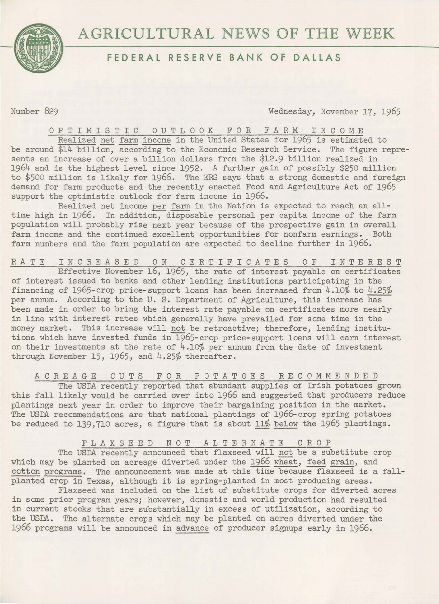

## **AGRICULTURAL** NEWS OF **THE** WEEK

## **FEDERAL RESERVE BANK OF DALLAS**

Number 829 Wednesday, November 17, 1965

OPTIMISTIC OUTLOOK FOR FARM INCOME

Realized net farm income in the United States for 1965 is estimated to be around \$14 billion, according to the Economic Research Service. The figure represents an increase of over a billion dollars from the \$12.9 billion realized in 1964 and is the highest level since 1952. A further gain of possibly \$250 million to \$500 million is likely for 1966. The ERS says that a strong domestic and foreign demand for farm products and the recently enacted Food and Agriculture Act of 1965 support the optimistic outlook for farm income in 1966.

Realized net income per farm in the Nation is expected to reach an alltime high in 1966. In addition, disposable personal per capita income of the farm population will probably rise next year because of the prospective gain in overall farm income and the continued excellent opportunities for nonfarm earnings. Both farm numbers and the farm population are expected to decline further in 1966.

RATE INCREASED ON CERTIFICATES OF INTEREST

Effective November 16, 1965, the rate of interest payable on certificates of interest issued to banks and other lending institutions participating in the financing of 1965-crop price-support loans has been increased from  $4.10\%$  to  $4.25\%$ per annum. According to the U. S. Department of Agriculture, this increase has been made in order to bring the interest rate payable on certificates more nearly in line with interest rates which generally have prevailed for some time in the money market. This increase will not be retroactive; therefore, lending institutions which have invested funds in 1965-crop price-support loans will earn interest on their investments at the rate of  $4.10\%$  per annum from the date of investment through November 15, 1965, and 4.25% thereafter.

ACREAGE CUTS FOR POTATOES RECOMMENDED

The USDA recently reported that abundant supplies of Irish potatoes grown this fall likely would be carried over into 1966 and suggested that producers reduce plantings next year in order to improve their bargaining position in the market. The USDA reccmmendations are that national plantings of 1966-crop spring potatoes be reduced to 139,710 acres, a figure that is about 11% below the 1965 plantings.

FLAXSEED NOT ALTERNATE CROP

The USDA recently announced that flaxseed will not be a substitute crop which may be planted on acreage diverted under the 1966 wheat, feed grain, and cotton programs. The announcement was made at this time because flaxseed is a fallplanted crop in Texas, although it is spring-planted in most producing areas.

Flaxseed was included on the list of substitute crops for diverted acres in some prior program years; however, domestic and world production had resulted in current stocks that are substantially in excess of utilization, according to the USDA. The alternate crops which may be planted on acres diverted under the 1966 programs will be announced in advance of producer signups early in 1966.